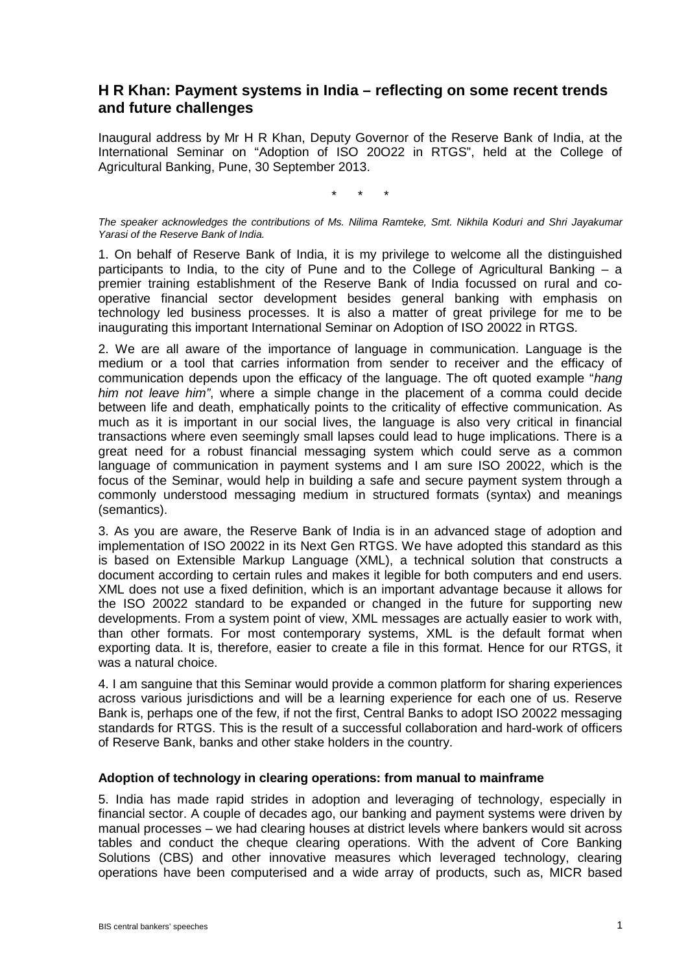# **H R Khan: Payment systems in India – reflecting on some recent trends and future challenges**

Inaugural address by Mr H R Khan, Deputy Governor of the Reserve Bank of India, at the International Seminar on "Adoption of ISO 20O22 in RTGS", held at the College of Agricultural Banking, Pune, 30 September 2013.

\* \* \*

*The speaker acknowledges the contributions of Ms. Nilima Ramteke, Smt. Nikhila Koduri and Shri Jayakumar Yarasi of the Reserve Bank of India.*

1. On behalf of Reserve Bank of India, it is my privilege to welcome all the distinguished participants to India, to the city of Pune and to the College of Agricultural Banking – a premier training establishment of the Reserve Bank of India focussed on rural and cooperative financial sector development besides general banking with emphasis on technology led business processes. It is also a matter of great privilege for me to be inaugurating this important International Seminar on Adoption of ISO 20022 in RTGS.

2. We are all aware of the importance of language in communication. Language is the medium or a tool that carries information from sender to receiver and the efficacy of communication depends upon the efficacy of the language. The oft quoted example "*hang him not leave him"*, where a simple change in the placement of a comma could decide between life and death, emphatically points to the criticality of effective communication. As much as it is important in our social lives, the language is also very critical in financial transactions where even seemingly small lapses could lead to huge implications. There is a great need for a robust financial messaging system which could serve as a common language of communication in payment systems and I am sure ISO 20022, which is the focus of the Seminar, would help in building a safe and secure payment system through a commonly understood messaging medium in structured formats (syntax) and meanings (semantics).

3. As you are aware, the Reserve Bank of India is in an advanced stage of adoption and implementation of ISO 20022 in its Next Gen RTGS. We have adopted this standard as this is based on Extensible Markup Language (XML), a technical solution that constructs a document according to certain rules and makes it legible for both computers and end users. XML does not use a fixed definition, which is an important advantage because it allows for the ISO 20022 standard to be expanded or changed in the future for supporting new developments. From a system point of view, XML messages are actually easier to work with, than other formats. For most contemporary systems, XML is the default format when exporting data. It is, therefore, easier to create a file in this format. Hence for our RTGS, it was a natural choice.

4. I am sanguine that this Seminar would provide a common platform for sharing experiences across various jurisdictions and will be a learning experience for each one of us. Reserve Bank is, perhaps one of the few, if not the first, Central Banks to adopt ISO 20022 messaging standards for RTGS. This is the result of a successful collaboration and hard-work of officers of Reserve Bank, banks and other stake holders in the country.

#### **Adoption of technology in clearing operations: from manual to mainframe**

5. India has made rapid strides in adoption and leveraging of technology, especially in financial sector. A couple of decades ago, our banking and payment systems were driven by manual processes – we had clearing houses at district levels where bankers would sit across tables and conduct the cheque clearing operations. With the advent of Core Banking Solutions (CBS) and other innovative measures which leveraged technology, clearing operations have been computerised and a wide array of products, such as, MICR based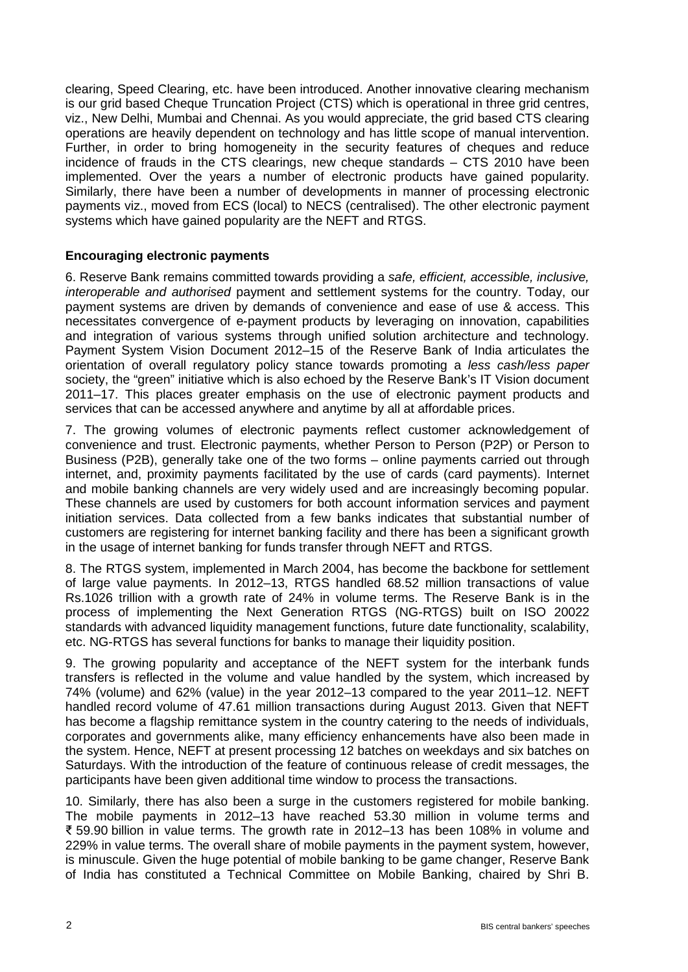clearing, Speed Clearing, etc. have been introduced. Another innovative clearing mechanism is our grid based Cheque Truncation Project (CTS) which is operational in three grid centres, viz., New Delhi, Mumbai and Chennai. As you would appreciate, the grid based CTS clearing operations are heavily dependent on technology and has little scope of manual intervention. Further, in order to bring homogeneity in the security features of cheques and reduce incidence of frauds in the CTS clearings, new cheque standards – CTS 2010 have been implemented. Over the years a number of electronic products have gained popularity. Similarly, there have been a number of developments in manner of processing electronic payments viz., moved from ECS (local) to NECS (centralised). The other electronic payment systems which have gained popularity are the NEFT and RTGS.

### **Encouraging electronic payments**

6. Reserve Bank remains committed towards providing a *safe, efficient, accessible, inclusive, interoperable and authorised* payment and settlement systems for the country. Today, our payment systems are driven by demands of convenience and ease of use & access. This necessitates convergence of e-payment products by leveraging on innovation, capabilities and integration of various systems through unified solution architecture and technology. Payment System Vision Document 2012–15 of the Reserve Bank of India articulates the orientation of overall regulatory policy stance towards promoting a *less cash/less paper* society, the "green" initiative which is also echoed by the Reserve Bank's IT Vision document 2011–17. This places greater emphasis on the use of electronic payment products and services that can be accessed anywhere and anytime by all at affordable prices.

7. The growing volumes of electronic payments reflect customer acknowledgement of convenience and trust. Electronic payments, whether Person to Person (P2P) or Person to Business (P2B), generally take one of the two forms – online payments carried out through internet, and, proximity payments facilitated by the use of cards (card payments). Internet and mobile banking channels are very widely used and are increasingly becoming popular. These channels are used by customers for both account information services and payment initiation services. Data collected from a few banks indicates that substantial number of customers are registering for internet banking facility and there has been a significant growth in the usage of internet banking for funds transfer through NEFT and RTGS.

8. The RTGS system, implemented in March 2004, has become the backbone for settlement of large value payments. In 2012–13, RTGS handled 68.52 million transactions of value Rs.1026 trillion with a growth rate of 24% in volume terms. The Reserve Bank is in the process of implementing the Next Generation RTGS (NG-RTGS) built on ISO 20022 standards with advanced liquidity management functions, future date functionality, scalability, etc. NG-RTGS has several functions for banks to manage their liquidity position.

9. The growing popularity and acceptance of the NEFT system for the interbank funds transfers is reflected in the volume and value handled by the system, which increased by 74% (volume) and 62% (value) in the year 2012–13 compared to the year 2011–12. NEFT handled record volume of 47.61 million transactions during August 2013. Given that NEFT has become a flagship remittance system in the country catering to the needs of individuals, corporates and governments alike, many efficiency enhancements have also been made in the system. Hence, NEFT at present processing 12 batches on weekdays and six batches on Saturdays. With the introduction of the feature of continuous release of credit messages, the participants have been given additional time window to process the transactions.

10. Similarly, there has also been a surge in the customers registered for mobile banking. The mobile payments in 2012–13 have reached 53.30 million in volume terms and ₹ 59.90 billion in value terms. The growth rate in 2012–13 has been 108% in volume and 229% in value terms. The overall share of mobile payments in the payment system, however, is minuscule. Given the huge potential of mobile banking to be game changer, Reserve Bank of India has constituted a Technical Committee on Mobile Banking, chaired by Shri B.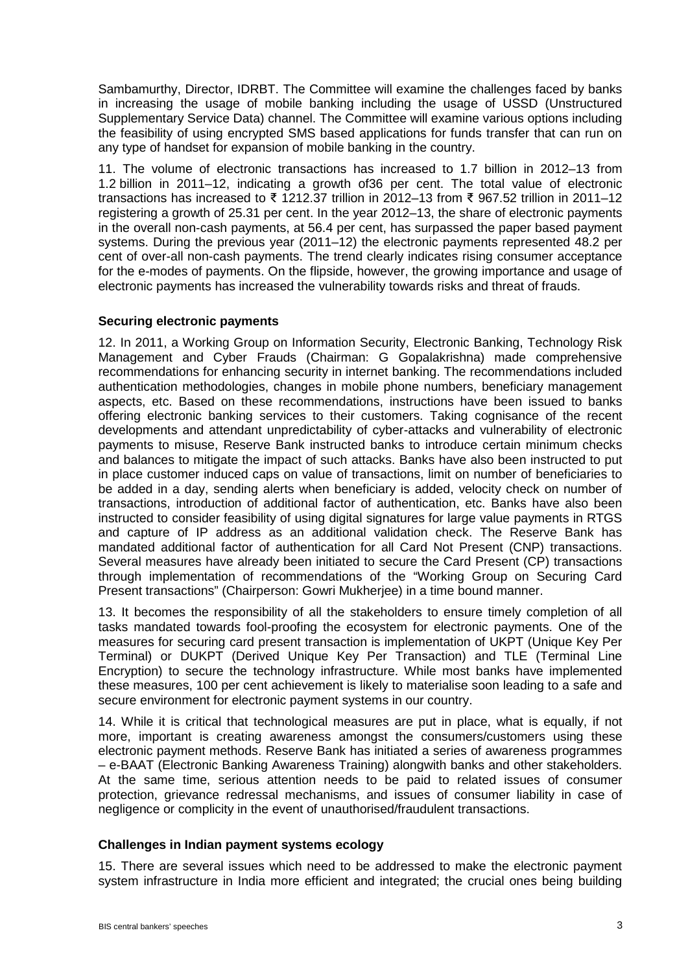Sambamurthy, Director, IDRBT. The Committee will examine the challenges faced by banks in increasing the usage of mobile banking including the usage of USSD (Unstructured Supplementary Service Data) channel. The Committee will examine various options including the feasibility of using encrypted SMS based applications for funds transfer that can run on any type of handset for expansion of mobile banking in the country.

11. The volume of electronic transactions has increased to 1.7 billion in 2012–13 from 1.2 billion in 2011–12, indicating a growth of36 per cent. The total value of electronic transactions has increased to ₹ 1212.37 trillion in 2012–13 from ₹ 967.52 trillion in 2011–12 registering a growth of 25.31 per cent. In the year 2012–13, the share of electronic payments in the overall non-cash payments, at 56.4 per cent, has surpassed the paper based payment systems. During the previous year (2011–12) the electronic payments represented 48.2 per cent of over-all non-cash payments. The trend clearly indicates rising consumer acceptance for the e-modes of payments. On the flipside, however, the growing importance and usage of electronic payments has increased the vulnerability towards risks and threat of frauds.

### **Securing electronic payments**

12. In 2011, a Working Group on Information Security, Electronic Banking, Technology Risk Management and Cyber Frauds (Chairman: G Gopalakrishna) made comprehensive recommendations for enhancing security in internet banking. The recommendations included authentication methodologies, changes in mobile phone numbers, beneficiary management aspects, etc. Based on these recommendations, instructions have been issued to banks offering electronic banking services to their customers. Taking cognisance of the recent developments and attendant unpredictability of cyber-attacks and vulnerability of electronic payments to misuse, Reserve Bank instructed banks to introduce certain minimum checks and balances to mitigate the impact of such attacks. Banks have also been instructed to put in place customer induced caps on value of transactions, limit on number of beneficiaries to be added in a day, sending alerts when beneficiary is added, velocity check on number of transactions, introduction of additional factor of authentication, etc. Banks have also been instructed to consider feasibility of using digital signatures for large value payments in RTGS and capture of IP address as an additional validation check. The Reserve Bank has mandated additional factor of authentication for all Card Not Present (CNP) transactions. Several measures have already been initiated to secure the Card Present (CP) transactions through implementation of recommendations of the "Working Group on Securing Card Present transactions" (Chairperson: Gowri Mukherjee) in a time bound manner.

13. It becomes the responsibility of all the stakeholders to ensure timely completion of all tasks mandated towards fool-proofing the ecosystem for electronic payments. One of the measures for securing card present transaction is implementation of UKPT (Unique Key Per Terminal) or DUKPT (Derived Unique Key Per Transaction) and TLE (Terminal Line Encryption) to secure the technology infrastructure. While most banks have implemented these measures, 100 per cent achievement is likely to materialise soon leading to a safe and secure environment for electronic payment systems in our country.

14. While it is critical that technological measures are put in place, what is equally, if not more, important is creating awareness amongst the consumers/customers using these electronic payment methods. Reserve Bank has initiated a series of awareness programmes – e-BAAT (Electronic Banking Awareness Training) alongwith banks and other stakeholders. At the same time, serious attention needs to be paid to related issues of consumer protection, grievance redressal mechanisms, and issues of consumer liability in case of negligence or complicity in the event of unauthorised/fraudulent transactions.

### **Challenges in Indian payment systems ecology**

15. There are several issues which need to be addressed to make the electronic payment system infrastructure in India more efficient and integrated; the crucial ones being building